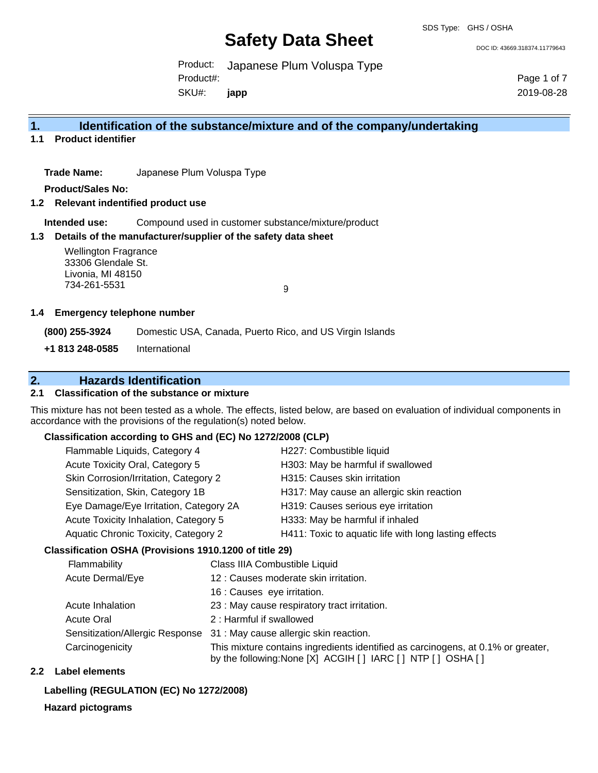#### SDS Type: GHS / OSHA

## **Safety Data Sheet**

DOC ID: 43669.318374.11779643

Product: Japanese Plum Voluspa Type SKU#: Product#: **japp**

Page 1 of 7 2019-08-28

### **1. Identification of the substance/mixture and of the company/undertaking**

**1.1 Product identifier**

**Trade Name:** Japanese Plum Voluspa Type

**Product/Sales No:**

- **1.2 Relevant indentified product use**
	- **Intended use:** Compound used in customer substance/mixture/product

#### **1.3 Details of the manufacturer/supplier of the safety data sheet**

Wellington Fragrance 33306 Glendale St. Livonia, MI 48150 734-261-5531

9

#### **1.4 Emergency telephone number**

**(800) 255-3924** Domestic USA, Canada, Puerto Rico, and US Virgin Islands

**+1 813 248-0585** International

### **2. Hazards Identification**

#### **2.1 Classification of the substance or mixture**

This mixture has not been tested as a whole. The effects, listed below, are based on evaluation of individual components in accordance with the provisions of the regulation(s) noted below.

#### **Classification according to GHS and (EC) No 1272/2008 (CLP)**

| Flammable Liquids, Category 4          | H227: Combustible liquid                              |
|----------------------------------------|-------------------------------------------------------|
| Acute Toxicity Oral, Category 5        | H303: May be harmful if swallowed                     |
| Skin Corrosion/Irritation, Category 2  | H315: Causes skin irritation                          |
| Sensitization, Skin, Category 1B       | H317: May cause an allergic skin reaction             |
| Eye Damage/Eye Irritation, Category 2A | H319: Causes serious eye irritation                   |
| Acute Toxicity Inhalation, Category 5  | H333: May be harmful if inhaled                       |
| Aquatic Chronic Toxicity, Category 2   | H411: Toxic to aquatic life with long lasting effects |
|                                        |                                                       |

#### **Classification OSHA (Provisions 1910.1200 of title 29)**

| Flammability                    | Class IIIA Combustible Liquid                                                                                                                      |
|---------------------------------|----------------------------------------------------------------------------------------------------------------------------------------------------|
| Acute Dermal/Eye                | 12 : Causes moderate skin irritation.                                                                                                              |
|                                 | 16 : Causes eye irritation.                                                                                                                        |
| Acute Inhalation                | 23 : May cause respiratory tract irritation.                                                                                                       |
| <b>Acute Oral</b>               | 2 : Harmful if swallowed                                                                                                                           |
| Sensitization/Allergic Response | 31 : May cause allergic skin reaction.                                                                                                             |
| Carcinogenicity                 | This mixture contains ingredients identified as carcinogens, at 0.1% or greater,<br>by the following: None [X] ACGIH [ ] IARC [ ] NTP [ ] OSHA [ ] |

#### **2.2 Label elements**

#### **Labelling (REGULATION (EC) No 1272/2008)**

#### **Hazard pictograms**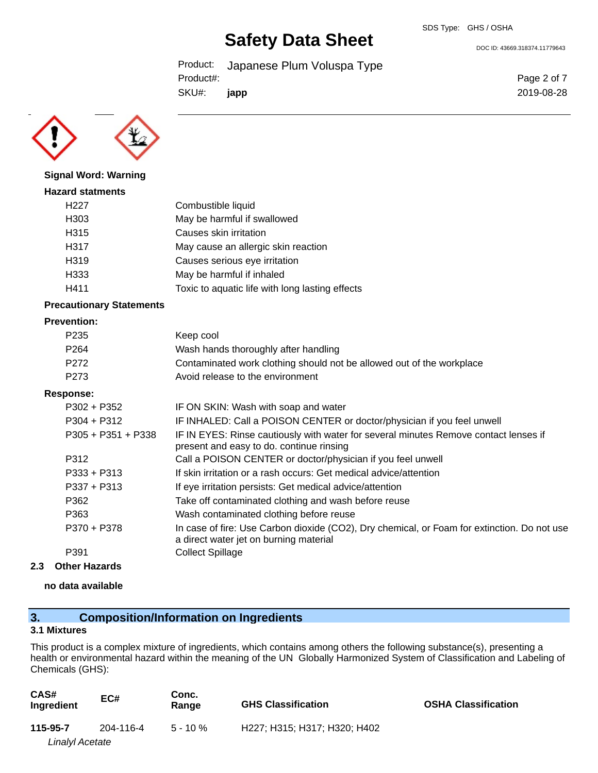Product: Japanese Plum Voluspa Type SKU#: Product#: **japp**

DOC ID: 43669.318374.11779643

Page 2 of 7 2019-08-28



**Signal Word: Warning**

## **Hazard statments** H227 Combustible liquid H303 May be harmful if swallowed H315 Causes skin irritation H317 May cause an allergic skin reaction H319 Causes serious eye irritation H333 May be harmful if inhaled H411 Toxic to aquatic life with long lasting effects

#### **Precautionary Statements**

#### **Prevention:**

| P <sub>235</sub> | Keep cool                                                             |
|------------------|-----------------------------------------------------------------------|
| P <sub>264</sub> | Wash hands thoroughly after handling                                  |
| P272             | Contaminated work clothing should not be allowed out of the workplace |
| P <sub>273</sub> | Avoid release to the environment                                      |

#### **Response:**

| $P302 + P352$        | IF ON SKIN: Wash with soap and water                                                                                                  |
|----------------------|---------------------------------------------------------------------------------------------------------------------------------------|
| $P304 + P312$        | IF INHALED: Call a POISON CENTER or doctor/physician if you feel unwell                                                               |
| $P305 + P351 + P338$ | IF IN EYES: Rinse cautiously with water for several minutes Remove contact lenses if<br>present and easy to do. continue rinsing      |
| P312                 | Call a POISON CENTER or doctor/physician if you feel unwell                                                                           |
| $P333 + P313$        | If skin irritation or a rash occurs: Get medical advice/attention                                                                     |
| $P337 + P313$        | If eye irritation persists: Get medical advice/attention                                                                              |
| P362                 | Take off contaminated clothing and wash before reuse                                                                                  |
| P363                 | Wash contaminated clothing before reuse                                                                                               |
| P370 + P378          | In case of fire: Use Carbon dioxide (CO2), Dry chemical, or Foam for extinction. Do not use<br>a direct water jet on burning material |
| P391                 | <b>Collect Spillage</b>                                                                                                               |

#### **2.3 Other Hazards**

#### **no data available**

## **3. Composition/Information on Ingredients**

#### **3.1 Mixtures**

This product is a complex mixture of ingredients, which contains among others the following substance(s), presenting a health or environmental hazard within the meaning of the UN Globally Harmonized System of Classification and Labeling of Chemicals (GHS):

| CAS#<br>Ingredient     | EC#       | Conc.<br>Range | <b>GHS Classification</b>    | <b>OSHA Classification</b> |
|------------------------|-----------|----------------|------------------------------|----------------------------|
| 115-95-7               | 204-116-4 | $5 - 10 \%$    | H227; H315; H317; H320; H402 |                            |
| <b>Linalyl Acetate</b> |           |                |                              |                            |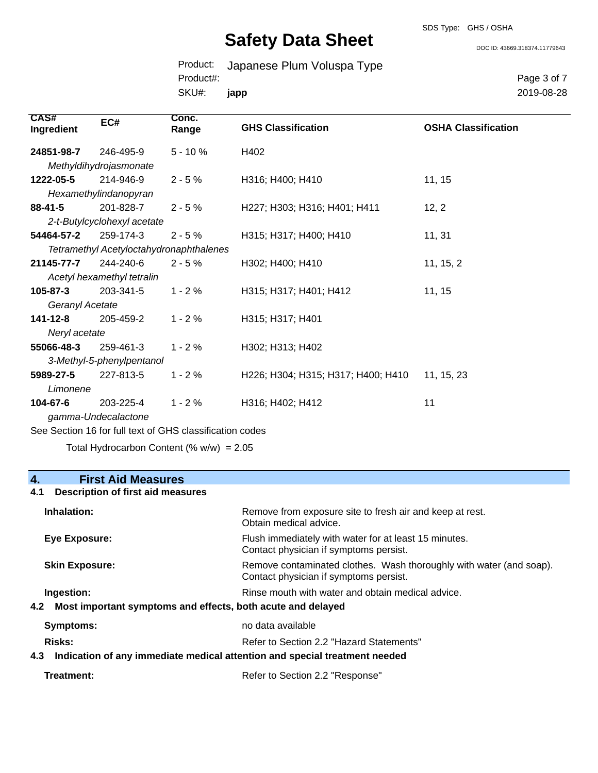SDS Type: GHS / OSHA

DOC ID: 43669.318374.11779643

Product: Japanese Plum Voluspa Type SKU#: Product#: **japp**

Page 3 of 7 2019-08-28

| CAS#<br>Ingredient | EC#                                     | Conc.<br>Range | <b>GHS Classification</b>          | <b>OSHA Classification</b> |
|--------------------|-----------------------------------------|----------------|------------------------------------|----------------------------|
| 24851-98-7         | 246-495-9                               | $5 - 10%$      | H402                               |                            |
|                    | Methyldihydrojasmonate                  |                |                                    |                            |
| 1222-05-5          | 214-946-9                               | $2 - 5%$       | H316; H400; H410                   | 11, 15                     |
|                    | Hexamethylindanopyran                   |                |                                    |                            |
| 88-41-5            | 201-828-7                               | $2 - 5%$       | H227; H303; H316; H401; H411       | 12, 2                      |
|                    | 2-t-Butylcyclohexyl acetate             |                |                                    |                            |
| 54464-57-2         | 259-174-3                               | $2 - 5%$       | H315; H317; H400; H410             | 11, 31                     |
|                    | Tetramethyl Acetyloctahydronaphthalenes |                |                                    |                            |
| 21145-77-7         | 244-240-6                               | $2 - 5 \%$     | H302; H400; H410                   | 11, 15, 2                  |
|                    | Acetyl hexamethyl tetralin              |                |                                    |                            |
| 105-87-3           | 203-341-5                               | $1 - 2%$       | H315; H317; H401; H412             | 11, 15                     |
| Geranyl Acetate    |                                         |                |                                    |                            |
| 141-12-8           | 205-459-2                               | $1 - 2%$       | H315; H317; H401                   |                            |
| Neryl acetate      |                                         |                |                                    |                            |
| 55066-48-3         | 259-461-3                               | $1 - 2%$       | H302; H313; H402                   |                            |
|                    | 3-Methyl-5-phenylpentanol               |                |                                    |                            |
| 5989-27-5          | 227-813-5                               | $1 - 2%$       | H226; H304; H315; H317; H400; H410 | 11, 15, 23                 |
| Limonene           |                                         |                |                                    |                            |
| 104-67-6           | 203-225-4                               | $1 - 2%$       | H316; H402; H412                   | 11                         |
|                    | gamma-Undecalactone                     |                |                                    |                            |

See Section 16 for full text of GHS classification codes

Total Hydrocarbon Content  $(\% w/w) = 2.05$ 

# **4. First Aid Measures**

## **4.1 Description of first aid measures**

| Inhalation:           | Remove from exposure site to fresh air and keep at rest.<br>Obtain medical advice.                               |  |
|-----------------------|------------------------------------------------------------------------------------------------------------------|--|
| Eye Exposure:         | Flush immediately with water for at least 15 minutes.<br>Contact physician if symptoms persist.                  |  |
| <b>Skin Exposure:</b> | Remove contaminated clothes. Wash thoroughly with water (and soap).<br>Contact physician if symptoms persist.    |  |
| Ingestion:<br>4.2     | Rinse mouth with water and obtain medical advice.<br>Most important symptoms and effects, both acute and delayed |  |
| Symptoms:             | no data available                                                                                                |  |
| <b>Risks:</b>         | Refer to Section 2.2 "Hazard Statements"                                                                         |  |
| 4.3                   | Indication of any immediate medical attention and special treatment needed                                       |  |
| Treatment:            | Refer to Section 2.2 "Response"                                                                                  |  |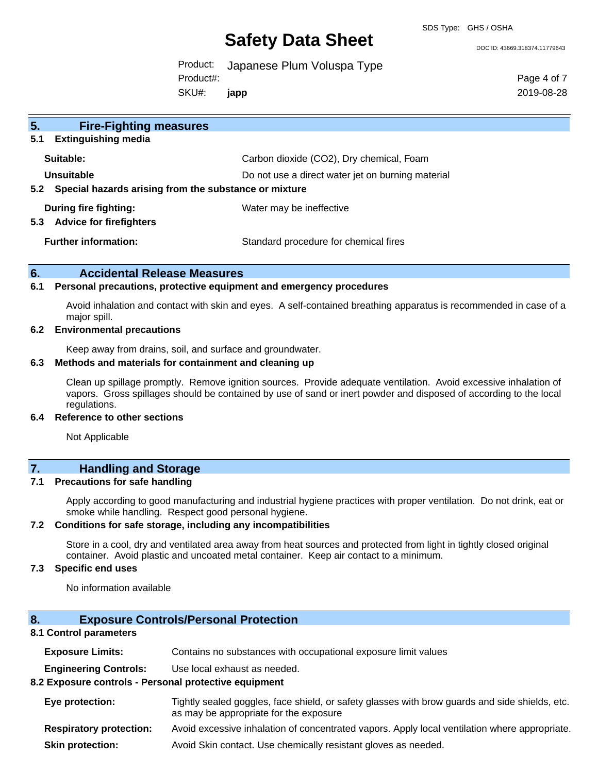SDS Type: GHS / OSHA

DOC ID: 43669.318374.11779643

Product: Japanese Plum Voluspa Type SKU#: Product#: **japp**

Page 4 of 7 2019-08-28

| 5.<br><b>Fire-Fighting measures</b>                            |                                                   |
|----------------------------------------------------------------|---------------------------------------------------|
| <b>Extinguishing media</b><br>5.1                              |                                                   |
| Suitable:                                                      | Carbon dioxide (CO2), Dry chemical, Foam          |
| Unsuitable                                                     | Do not use a direct water jet on burning material |
| Special hazards arising from the substance or mixture<br>5.2   |                                                   |
| During fire fighting:<br>5.3<br><b>Advice for firefighters</b> | Water may be ineffective                          |
| <b>Further information:</b>                                    | Standard procedure for chemical fires             |

### **6. Accidental Release Measures**

#### **6.1 Personal precautions, protective equipment and emergency procedures**

Avoid inhalation and contact with skin and eyes. A self-contained breathing apparatus is recommended in case of a major spill.

#### **6.2 Environmental precautions**

Keep away from drains, soil, and surface and groundwater.

#### **6.3 Methods and materials for containment and cleaning up**

Clean up spillage promptly. Remove ignition sources. Provide adequate ventilation. Avoid excessive inhalation of vapors. Gross spillages should be contained by use of sand or inert powder and disposed of according to the local regulations.

#### **6.4 Reference to other sections**

Not Applicable

### **7. Handling and Storage**

#### **7.1 Precautions for safe handling**

Apply according to good manufacturing and industrial hygiene practices with proper ventilation. Do not drink, eat or smoke while handling. Respect good personal hygiene.

#### **7.2 Conditions for safe storage, including any incompatibilities**

Store in a cool, dry and ventilated area away from heat sources and protected from light in tightly closed original container. Avoid plastic and uncoated metal container. Keep air contact to a minimum.

#### **7.3 Specific end uses**

No information available

## **8. Exposure Controls/Personal Protection**

#### **8.1 Control parameters**

| <b>Exposure Limits:</b> |  | Contains no substances with occupational exposure limit values |
|-------------------------|--|----------------------------------------------------------------|
|-------------------------|--|----------------------------------------------------------------|

**Engineering Controls:** Use local exhaust as needed.

### **8.2 Exposure controls - Personal protective equipment**

| <b>Eye protection:</b>       | Tightly sealed goggles, face shield, or safety glasses with brow guards and side shields, etc.<br>as may be appropriate for the exposure |
|------------------------------|------------------------------------------------------------------------------------------------------------------------------------------|
| Desember en en en electronic | المفاوض والمستحدث والمستري والمتحارب المتمال والمشاركة المستحدث المقاومة والمستحدث والمستحدث والمتحدث والمالية المالية                   |

- **Respiratory protection:** Avoid excessive inhalation of concentrated vapors. Apply local ventilation where appropriate.
- **Skin protection:** Avoid Skin contact. Use chemically resistant gloves as needed.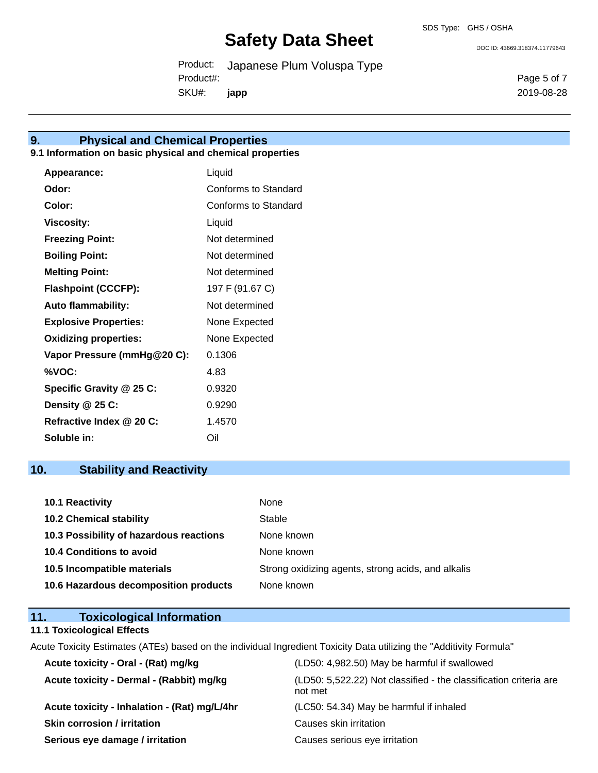DOC ID: 43669.318374.11779643

Page 5 of 7 2019-08-28

Product: Japanese Plum Voluspa Type SKU#: Product#: **japp**

**9. Physical and Chemical Properties**

### **9.1 Information on basic physical and chemical properties**

| Appearance:                  | Liquid               |
|------------------------------|----------------------|
| Odor:                        | Conforms to Standard |
| Color:                       | Conforms to Standard |
| <b>Viscosity:</b>            | Liquid               |
| <b>Freezing Point:</b>       | Not determined       |
| <b>Boiling Point:</b>        | Not determined       |
| <b>Melting Point:</b>        | Not determined       |
| <b>Flashpoint (CCCFP):</b>   | 197 F (91.67 C)      |
| <b>Auto flammability:</b>    | Not determined       |
| <b>Explosive Properties:</b> | None Expected        |
| <b>Oxidizing properties:</b> | None Expected        |
| Vapor Pressure (mmHg@20 C):  | 0.1306               |
| %VOC:                        | 4.83                 |
| Specific Gravity @ 25 C:     | 0.9320               |
| Density @ 25 C:              | 0.9290               |
| Refractive Index @ 20 C:     | 1.4570               |
| Soluble in:                  | Oil                  |

## **10. Stability and Reactivity**

| <b>10.1 Reactivity</b>                  | None                                               |
|-----------------------------------------|----------------------------------------------------|
| <b>10.2 Chemical stability</b>          | Stable                                             |
| 10.3 Possibility of hazardous reactions | None known                                         |
| 10.4 Conditions to avoid                | None known                                         |
| 10.5 Incompatible materials             | Strong oxidizing agents, strong acids, and alkalis |
| 10.6 Hazardous decomposition products   | None known                                         |

### **11. Toxicological Information**

#### **11.1 Toxicological Effects**

Acute Toxicity Estimates (ATEs) based on the individual Ingredient Toxicity Data utilizing the "Additivity Formula"

| Acute toxicity - Oral - (Rat) mg/kg          | (LD50: 4,982.50) May be harmful if swallowed                                 |
|----------------------------------------------|------------------------------------------------------------------------------|
| Acute toxicity - Dermal - (Rabbit) mg/kg     | (LD50: 5,522.22) Not classified - the classification criteria are<br>not met |
| Acute toxicity - Inhalation - (Rat) mg/L/4hr | (LC50: 54.34) May be harmful if inhaled                                      |
| <b>Skin corrosion / irritation</b>           | Causes skin irritation                                                       |
| Serious eye damage / irritation              | Causes serious eye irritation                                                |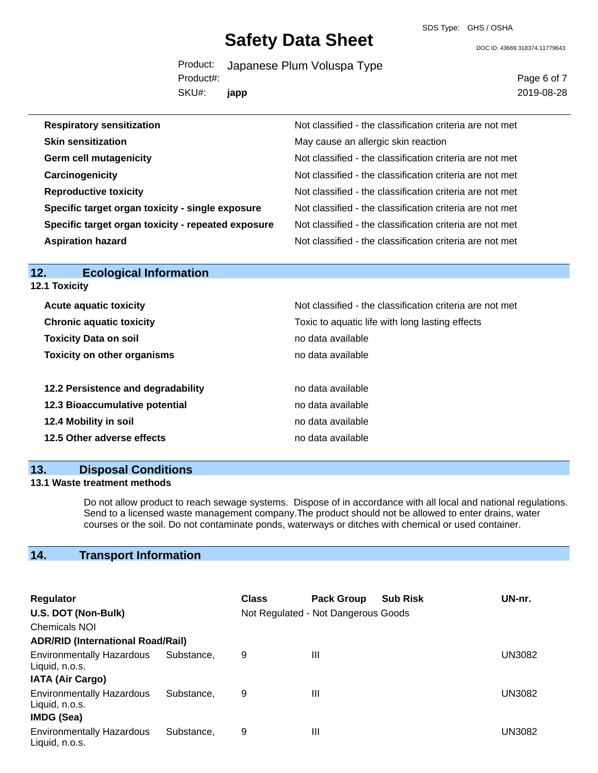SDS Type: GHS / OSHA

DOC ID: 43669.318374.11779643

|           | Product: Japanese Plum Voluspa Type |
|-----------|-------------------------------------|
| Product#: |                                     |
| SKU#:     | japp                                |

Page 6 of 7 2019-08-28

| <b>Respiratory sensitization</b>                   | Not classified - the classification criteria are not met |
|----------------------------------------------------|----------------------------------------------------------|
| <b>Skin sensitization</b>                          | May cause an allergic skin reaction                      |
| <b>Germ cell mutagenicity</b>                      | Not classified - the classification criteria are not met |
| Carcinogenicity                                    | Not classified - the classification criteria are not met |
| <b>Reproductive toxicity</b>                       | Not classified - the classification criteria are not met |
| Specific target organ toxicity - single exposure   | Not classified - the classification criteria are not met |
| Specific target organ toxicity - repeated exposure | Not classified - the classification criteria are not met |
| <b>Aspiration hazard</b>                           | Not classified - the classification criteria are not met |

**12.1 Toxicity**

| <b>Acute aquatic toxicity</b>      | Not classified - the classification criteria are not met |
|------------------------------------|----------------------------------------------------------|
| <b>Chronic aquatic toxicity</b>    | Toxic to aquatic life with long lasting effects          |
| <b>Toxicity Data on soil</b>       | no data available                                        |
| <b>Toxicity on other organisms</b> | no data available                                        |
|                                    |                                                          |
| 12.2 Persistence and degradability | no data available                                        |
| 12.3 Bioaccumulative potential     | no data available                                        |
| 12.4 Mobility in soil              | no data available                                        |
| 12.5 Other adverse effects         | no data available                                        |
|                                    |                                                          |

## **13. Disposal Conditions**

#### **13.1 Waste treatment methods**

Do not allow product to reach sewage systems. Dispose of in accordance with all local and national regulations. Send to a licensed waste management company.The product should not be allowed to enter drains, water courses or the soil. Do not contaminate ponds, waterways or ditches with chemical or used container.

## **14. Transport Information**

| <b>Regulator</b>                                                                                   |            | <b>Class</b> | <b>Pack Group</b>                   | <b>Sub Risk</b> | UN-nr. |
|----------------------------------------------------------------------------------------------------|------------|--------------|-------------------------------------|-----------------|--------|
| U.S. DOT (Non-Bulk)                                                                                |            |              | Not Regulated - Not Dangerous Goods |                 |        |
| <b>Chemicals NOI</b>                                                                               |            |              |                                     |                 |        |
| <b>ADR/RID (International Road/Rail)</b>                                                           |            |              |                                     |                 |        |
| <b>Environmentally Hazardous</b><br>Liquid, n.o.s.                                                 | Substance. | 9            | Ш                                   |                 | UN3082 |
| <b>IATA (Air Cargo)</b><br><b>Environmentally Hazardous</b><br>Liquid, n.o.s.<br><b>IMDG (Sea)</b> | Substance. | 9            | Ш                                   |                 | UN3082 |
| <b>Environmentally Hazardous</b><br>Liquid, n.o.s.                                                 | Substance. | 9            | Ш                                   |                 | UN3082 |